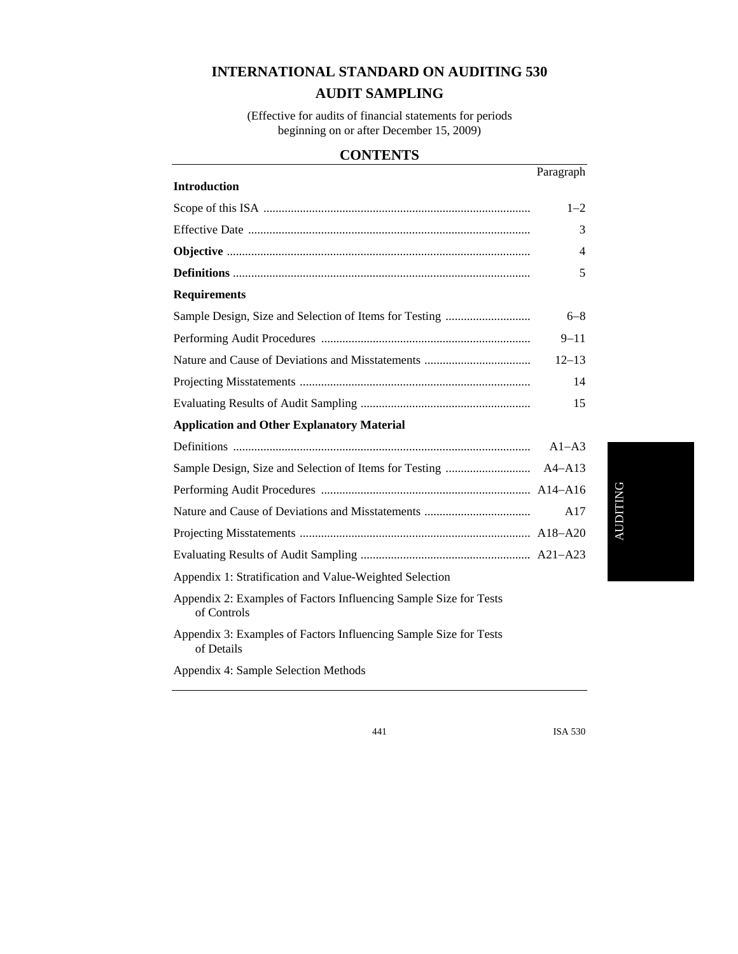# **INTERNATIONAL STANDARD ON AUDITING 530 AUDIT SAMPLING**

(Effective for audits of financial statements for periods beginning on or after December 15, 2009)

#### **CONTENTS**

Paragraph **Introduction**  Scope of this ISA ........................................................................................ 1−2 Effective Date ............................................................................................. 3 **Objective** .................................................................................................... 4 **Definitions** .................................................................................................. 5 **Requirements**  Sample Design, Size and Selection of Items for Testing ............................ 6−8 Performing Audit Procedures ..................................................................... 9−11 Nature and Cause of Deviations and Misstatements ................................... 12−13 Projecting Misstatements ............................................................................ 14 Evaluating Results of Audit Sampling ........................................................ 15 **Application and Other Explanatory Material** 

# Definitions .................................................................................................. A1−A3 Sample Design, Size and Selection of Items for Testing ............................ A4−A13 Performing Audit Procedures ..................................................................... A14−A16 Nature and Cause of Deviations and Misstatements ................................... A17 Projecting Misstatements ............................................................................ A18−A20 Evaluating Results of Audit Sampling ........................................................ A21−A23 Appendix 1: Stratification and Value-Weighted Selection Appendix 2: Examples of Factors Influencing Sample Size for Tests of Controls

Appendix 3: Examples of Factors Influencing Sample Size for Tests of Details

Appendix 4: Sample Selection Methods

441 ISA 530

AUDITING **AUDITING**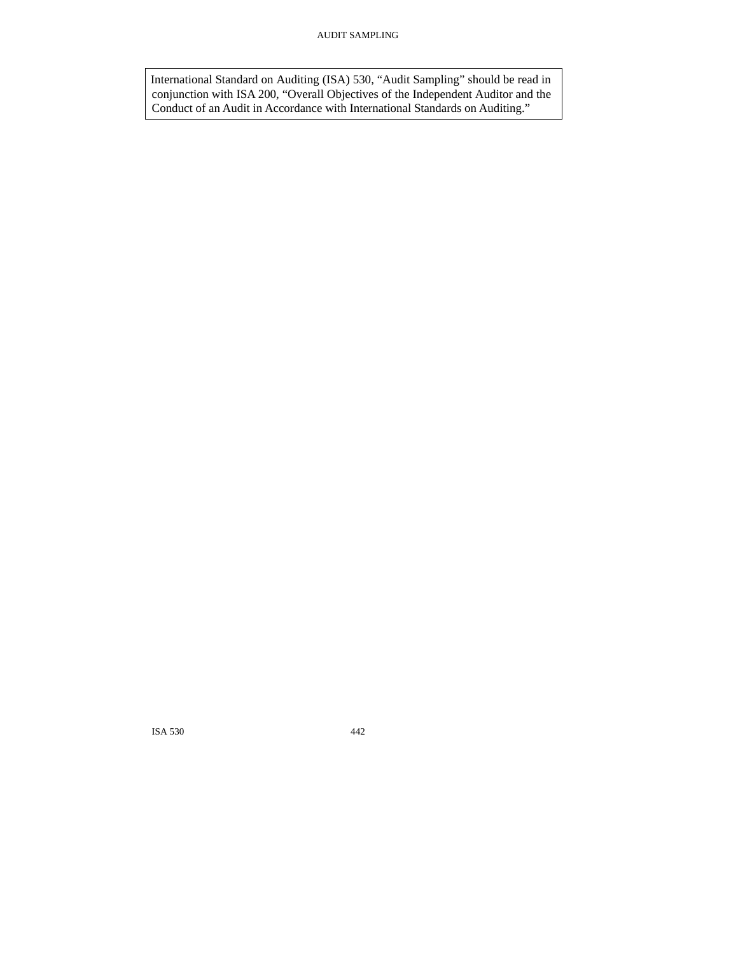International Standard on Auditing (ISA) 530, "Audit Sampling" should be read in conjunction with ISA 200, "Overall Objectives of the Independent Auditor and the Conduct of an Audit in Accordance with International Standards on Auditing."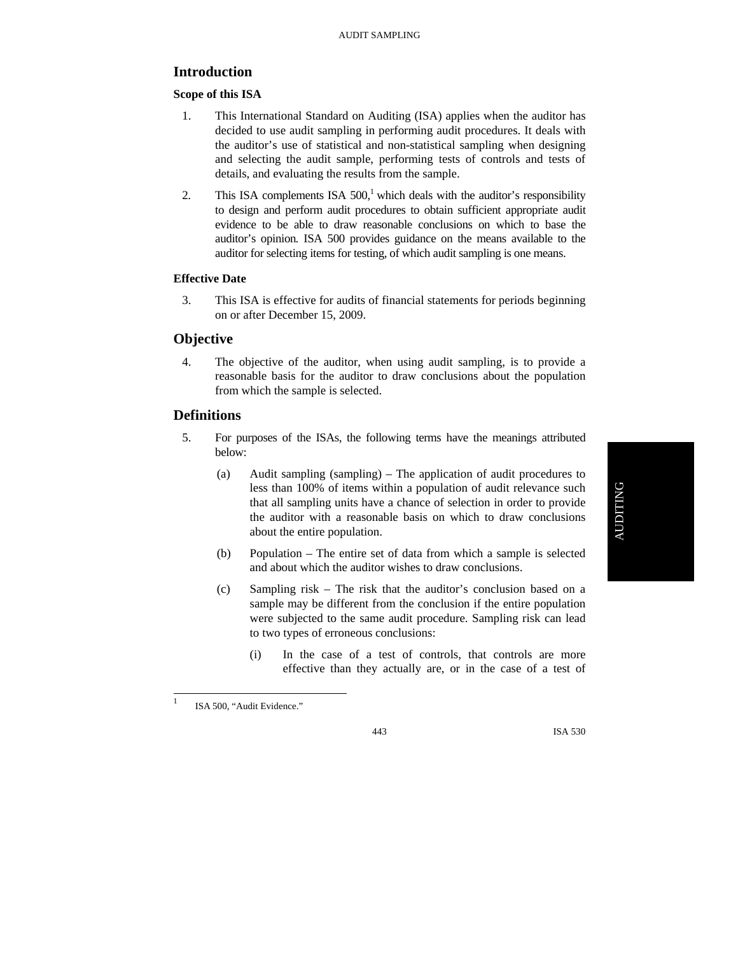# **Introduction**

#### **Scope of this ISA**

- 1. This International Standard on Auditing (ISA) applies when the auditor has decided to use audit sampling in performing audit procedures. It deals with the auditor's use of statistical and non-statistical sampling when designing and selecting the audit sample, performing tests of controls and tests of details, and evaluating the results from the sample.
- 2. This ISA complements ISA  $500<sup>1</sup>$ , which deals with the auditor's responsibility to design and perform audit procedures to obtain sufficient appropriate audit evidence to be able to draw reasonable conclusions on which to base the auditor's opinion*.* ISA 500 provides guidance on the means available to the auditor for selecting items for testing, of which audit sampling is one means.

#### **Effective Date**

3. This ISA is effective for audits of financial statements for periods beginning on or after December 15, 2009.

#### **Objective**

4. The objective of the auditor, when using audit sampling, is to provide a reasonable basis for the auditor to draw conclusions about the population from which the sample is selected.

### **Definitions**

- 5. For purposes of the ISAs, the following terms have the meanings attributed below:
	- (a) Audit sampling (sampling) The application of audit procedures to less than 100% of items within a population of audit relevance such that all sampling units have a chance of selection in order to provide the auditor with a reasonable basis on which to draw conclusions about the entire population.
	- (b) Population The entire set of data from which a sample is selected and about which the auditor wishes to draw conclusions.
	- (c) Sampling risk The risk that the auditor's conclusion based on a sample may be different from the conclusion if the entire population were subjected to the same audit procedure. Sampling risk can lead to two types of erroneous conclusions:
		- (i) In the case of a test of controls, that controls are more effective than they actually are, or in the case of a test of



443 ISA 530

AUDITING

**AUDITING** 

 $\frac{1}{1}$ ISA 500, "Audit Evidence."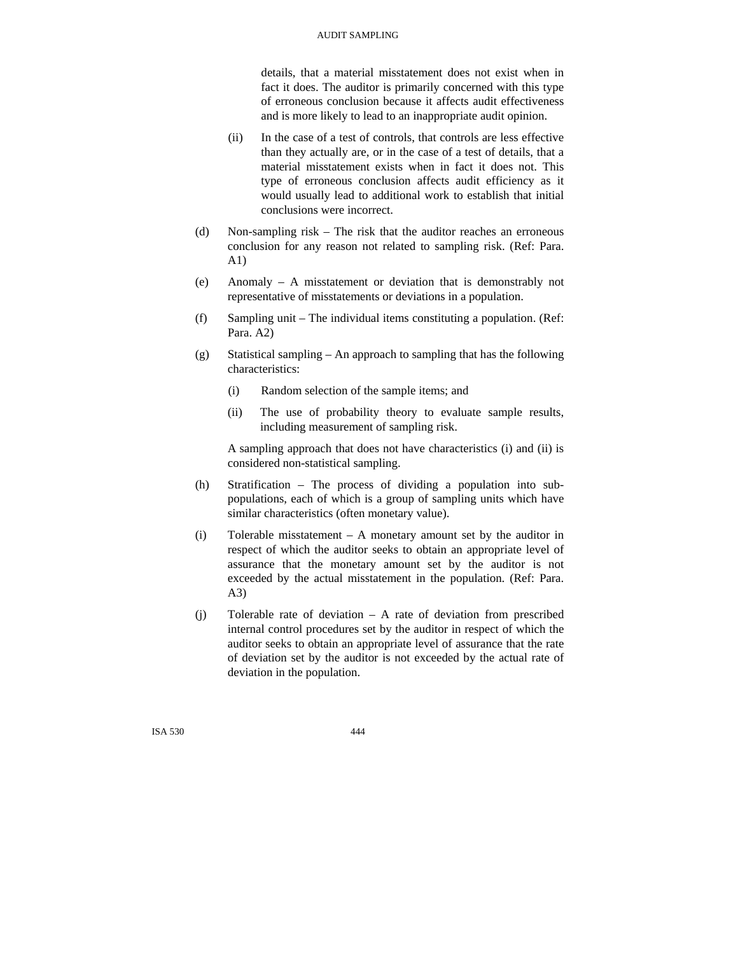details, that a material misstatement does not exist when in fact it does. The auditor is primarily concerned with this type of erroneous conclusion because it affects audit effectiveness and is more likely to lead to an inappropriate audit opinion.

- (ii) In the case of a test of controls, that controls are less effective than they actually are, or in the case of a test of details, that a material misstatement exists when in fact it does not. This type of erroneous conclusion affects audit efficiency as it would usually lead to additional work to establish that initial conclusions were incorrect.
- (d) Non-sampling risk The risk that the auditor reaches an erroneous conclusion for any reason not related to sampling risk. (Ref: Para. A1)
- (e) Anomaly A misstatement or deviation that is demonstrably not representative of misstatements or deviations in a population.
- (f) Sampling unit The individual items constituting a population. (Ref: Para. A2)
- (g) Statistical sampling An approach to sampling that has the following characteristics:
	- (i) Random selection of the sample items; and
	- (ii) The use of probability theory to evaluate sample results, including measurement of sampling risk.

A sampling approach that does not have characteristics (i) and (ii) is considered non-statistical sampling.

- (h) Stratification The process of dividing a population into subpopulations, each of which is a group of sampling units which have similar characteristics (often monetary value).
- (i) Tolerable misstatement A monetary amount set by the auditor in respect of which the auditor seeks to obtain an appropriate level of assurance that the monetary amount set by the auditor is not exceeded by the actual misstatement in the population. (Ref: Para. A3)
- (j) Tolerable rate of deviation A rate of deviation from prescribed internal control procedures set by the auditor in respect of which the auditor seeks to obtain an appropriate level of assurance that the rate of deviation set by the auditor is not exceeded by the actual rate of deviation in the population.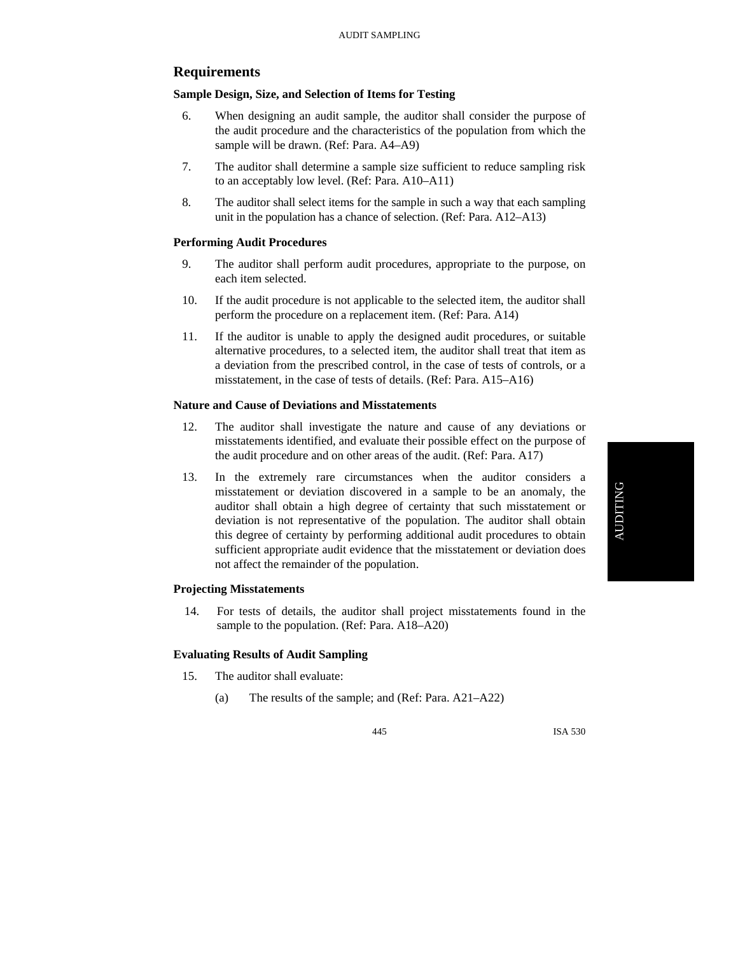## **Requirements**

#### **Sample Design, Size, and Selection of Items for Testing**

- 6. When designing an audit sample, the auditor shall consider the purpose of the audit procedure and the characteristics of the population from which the sample will be drawn. (Ref: Para. A4–A9)
- 7. The auditor shall determine a sample size sufficient to reduce sampling risk to an acceptably low level. (Ref: Para. A10–A11)
- 8. The auditor shall select items for the sample in such a way that each sampling unit in the population has a chance of selection. (Ref: Para. A12–A13)

#### **Performing Audit Procedures**

- 9. The auditor shall perform audit procedures, appropriate to the purpose, on each item selected.
- 10. If the audit procedure is not applicable to the selected item, the auditor shall perform the procedure on a replacement item. (Ref: Para. A14)
- 11. If the auditor is unable to apply the designed audit procedures, or suitable alternative procedures, to a selected item, the auditor shall treat that item as a deviation from the prescribed control, in the case of tests of controls, or a misstatement, in the case of tests of details. (Ref: Para. A15–A16)

#### **Nature and Cause of Deviations and Misstatements**

- 12. The auditor shall investigate the nature and cause of any deviations or misstatements identified, and evaluate their possible effect on the purpose of the audit procedure and on other areas of the audit. (Ref: Para. A17)
- 13. In the extremely rare circumstances when the auditor considers a misstatement or deviation discovered in a sample to be an anomaly, the auditor shall obtain a high degree of certainty that such misstatement or deviation is not representative of the population. The auditor shall obtain this degree of certainty by performing additional audit procedures to obtain sufficient appropriate audit evidence that the misstatement or deviation does not affect the remainder of the population.

#### **Projecting Misstatements**

14. For tests of details, the auditor shall project misstatements found in the sample to the population. (Ref: Para. A18–A20)

#### **Evaluating Results of Audit Sampling**

- 15. The auditor shall evaluate:
	- (a) The results of the sample; and (Ref: Para. A21–A22)

445 ISA 530

AUDITING

**AUDITING**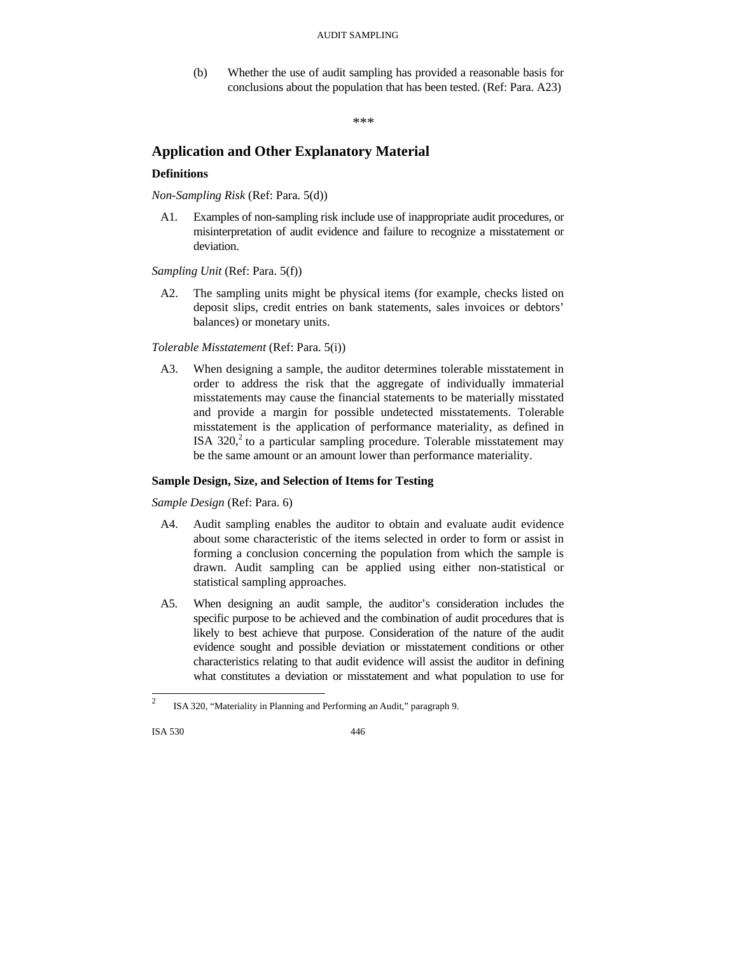(b) Whether the use of audit sampling has provided a reasonable basis for conclusions about the population that has been tested. (Ref: Para. A23)

\*\*\*

#### **Application and Other Explanatory Material**

#### **Definitions**

*Non-Sampling Risk* (Ref: Para. 5(d))

A1. Examples of non-sampling risk include use of inappropriate audit procedures, or misinterpretation of audit evidence and failure to recognize a misstatement or deviation.

#### *Sampling Unit* (Ref: Para. 5(f))

A2. The sampling units might be physical items (for example, checks listed on deposit slips, credit entries on bank statements, sales invoices or debtors' balances) or monetary units.

#### *Tolerable Misstatement* (Ref: Para. 5(i))

A3. When designing a sample, the auditor determines tolerable misstatement in order to address the risk that the aggregate of individually immaterial misstatements may cause the financial statements to be materially misstated and provide a margin for possible undetected misstatements. Tolerable misstatement is the application of performance materiality, as defined in ISA  $320<sub>1</sub><sup>2</sup>$  to a particular sampling procedure. Tolerable misstatement may be the same amount or an amount lower than performance materiality.

#### **Sample Design, Size, and Selection of Items for Testing**

*Sample Design* (Ref: Para. 6)

- A4. Audit sampling enables the auditor to obtain and evaluate audit evidence about some characteristic of the items selected in order to form or assist in forming a conclusion concerning the population from which the sample is drawn. Audit sampling can be applied using either non-statistical or statistical sampling approaches.
- A5. When designing an audit sample, the auditor's consideration includes the specific purpose to be achieved and the combination of audit procedures that is likely to best achieve that purpose. Consideration of the nature of the audit evidence sought and possible deviation or misstatement conditions or other characteristics relating to that audit evidence will assist the auditor in defining what constitutes a deviation or misstatement and what population to use for

 $\frac{1}{2}$ ISA 320, "Materiality in Planning and Performing an Audit," paragraph 9.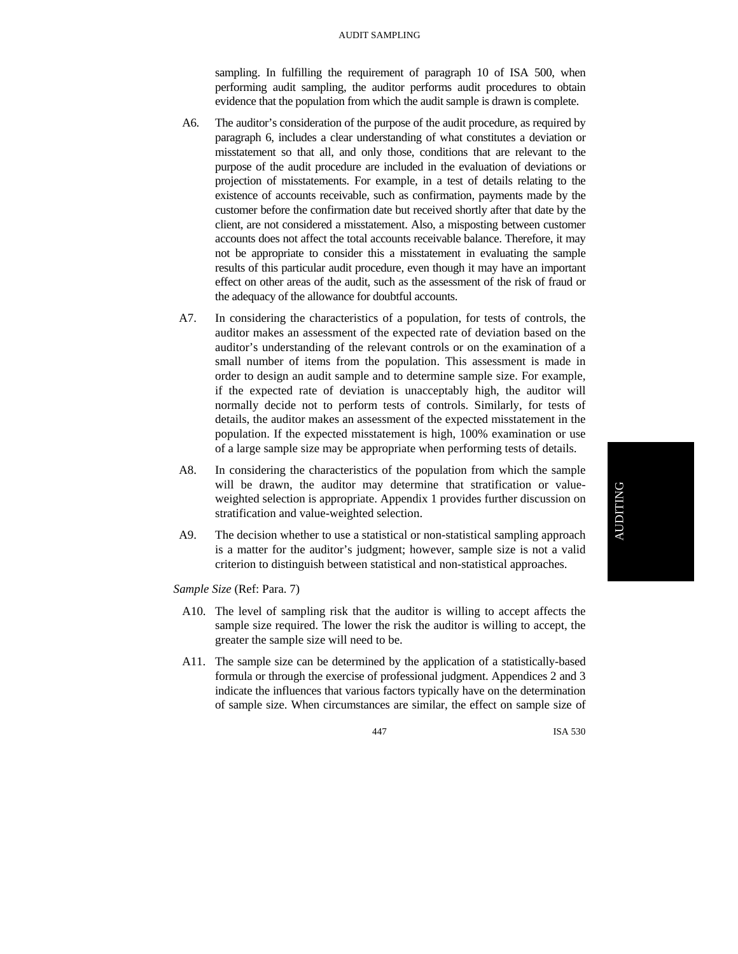sampling. In fulfilling the requirement of paragraph 10 of ISA 500, when performing audit sampling, the auditor performs audit procedures to obtain evidence that the population from which the audit sample is drawn is complete.

- A6. The auditor's consideration of the purpose of the audit procedure, as required by paragraph 6, includes a clear understanding of what constitutes a deviation or misstatement so that all, and only those, conditions that are relevant to the purpose of the audit procedure are included in the evaluation of deviations or projection of misstatements. For example, in a test of details relating to the existence of accounts receivable, such as confirmation, payments made by the customer before the confirmation date but received shortly after that date by the client, are not considered a misstatement. Also, a misposting between customer accounts does not affect the total accounts receivable balance. Therefore, it may not be appropriate to consider this a misstatement in evaluating the sample results of this particular audit procedure, even though it may have an important effect on other areas of the audit, such as the assessment of the risk of fraud or the adequacy of the allowance for doubtful accounts.
- A7. In considering the characteristics of a population, for tests of controls, the auditor makes an assessment of the expected rate of deviation based on the auditor's understanding of the relevant controls or on the examination of a small number of items from the population. This assessment is made in order to design an audit sample and to determine sample size. For example, if the expected rate of deviation is unacceptably high, the auditor will normally decide not to perform tests of controls. Similarly, for tests of details, the auditor makes an assessment of the expected misstatement in the population. If the expected misstatement is high, 100% examination or use of a large sample size may be appropriate when performing tests of details.
- A8. In considering the characteristics of the population from which the sample will be drawn, the auditor may determine that stratification or valueweighted selection is appropriate. Appendix 1 provides further discussion on stratification and value-weighted selection.
- A9. The decision whether to use a statistical or non-statistical sampling approach is a matter for the auditor's judgment; however, sample size is not a valid criterion to distinguish between statistical and non-statistical approaches.

*Sample Size* (Ref: Para. 7)

- A10. The level of sampling risk that the auditor is willing to accept affects the sample size required. The lower the risk the auditor is willing to accept, the greater the sample size will need to be.
- A11. The sample size can be determined by the application of a statistically-based formula or through the exercise of professional judgment. Appendices 2 and 3 indicate the influences that various factors typically have on the determination of sample size. When circumstances are similar, the effect on sample size of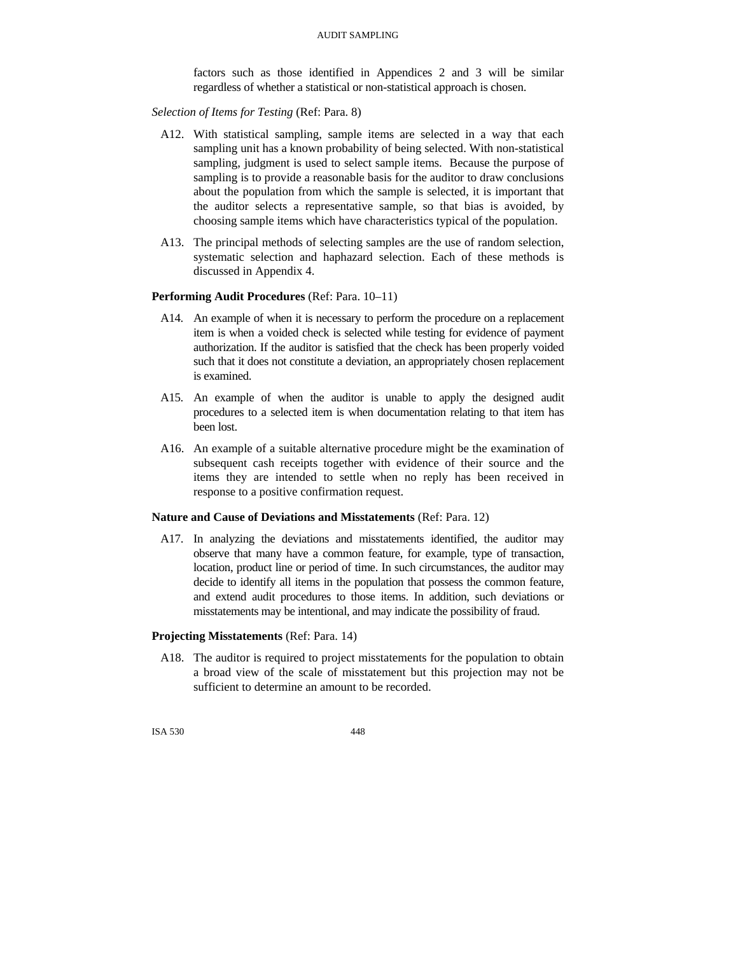factors such as those identified in Appendices 2 and 3 will be similar regardless of whether a statistical or non-statistical approach is chosen.

#### *Selection of Items for Testing* (Ref: Para. 8)

- A12. With statistical sampling, sample items are selected in a way that each sampling unit has a known probability of being selected. With non-statistical sampling, judgment is used to select sample items. Because the purpose of sampling is to provide a reasonable basis for the auditor to draw conclusions about the population from which the sample is selected, it is important that the auditor selects a representative sample, so that bias is avoided, by choosing sample items which have characteristics typical of the population.
- A13. The principal methods of selecting samples are the use of random selection, systematic selection and haphazard selection. Each of these methods is discussed in Appendix 4.

#### **Performing Audit Procedures** (Ref: Para. 10–11)

- A14. An example of when it is necessary to perform the procedure on a replacement item is when a voided check is selected while testing for evidence of payment authorization. If the auditor is satisfied that the check has been properly voided such that it does not constitute a deviation, an appropriately chosen replacement is examined.
- A15. An example of when the auditor is unable to apply the designed audit procedures to a selected item is when documentation relating to that item has been lost.
- A16. An example of a suitable alternative procedure might be the examination of subsequent cash receipts together with evidence of their source and the items they are intended to settle when no reply has been received in response to a positive confirmation request.

#### **Nature and Cause of Deviations and Misstatements** (Ref: Para. 12)

A17. In analyzing the deviations and misstatements identified, the auditor may observe that many have a common feature, for example, type of transaction, location, product line or period of time. In such circumstances, the auditor may decide to identify all items in the population that possess the common feature, and extend audit procedures to those items. In addition, such deviations or misstatements may be intentional, and may indicate the possibility of fraud.

#### **Projecting Misstatements** (Ref: Para. 14)

A18. The auditor is required to project misstatements for the population to obtain a broad view of the scale of misstatement but this projection may not be sufficient to determine an amount to be recorded.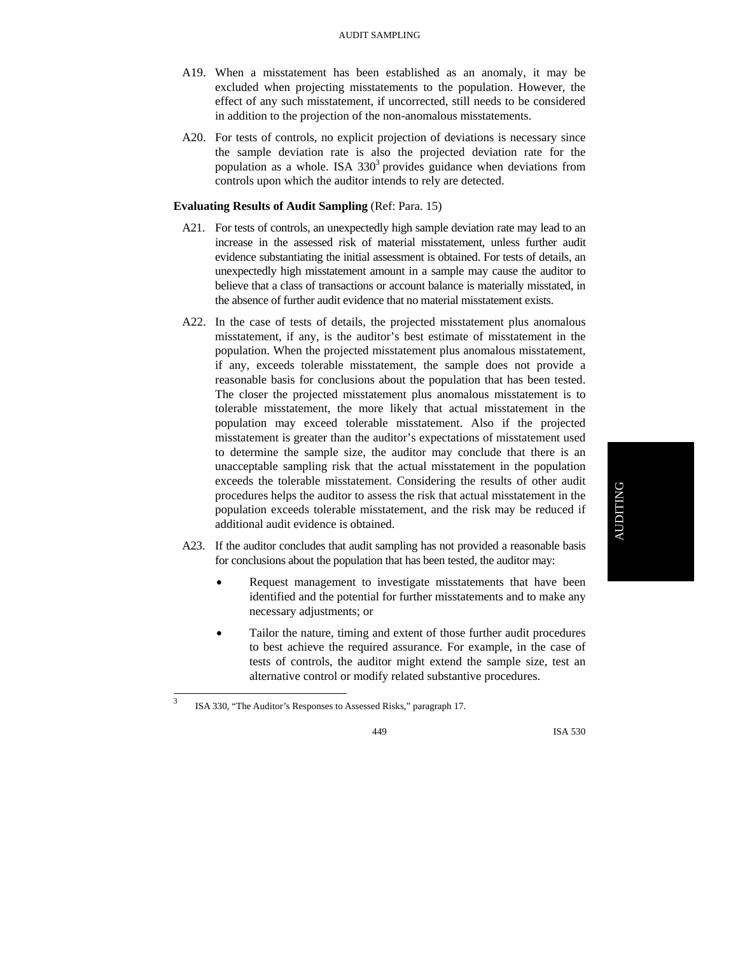- A19. When a misstatement has been established as an anomaly, it may be excluded when projecting misstatements to the population. However, the effect of any such misstatement, if uncorrected, still needs to be considered in addition to the projection of the non-anomalous misstatements.
- A20. For tests of controls, no explicit projection of deviations is necessary since the sample deviation rate is also the projected deviation rate for the population as a whole. ISA  $330<sup>3</sup>$  provides guidance when deviations from controls upon which the auditor intends to rely are detected.

#### **Evaluating Results of Audit Sampling** (Ref: Para. 15)

- A21. For tests of controls, an unexpectedly high sample deviation rate may lead to an increase in the assessed risk of material misstatement, unless further audit evidence substantiating the initial assessment is obtained. For tests of details, an unexpectedly high misstatement amount in a sample may cause the auditor to believe that a class of transactions or account balance is materially misstated, in the absence of further audit evidence that no material misstatement exists.
- A22. In the case of tests of details, the projected misstatement plus anomalous misstatement, if any, is the auditor's best estimate of misstatement in the population. When the projected misstatement plus anomalous misstatement, if any, exceeds tolerable misstatement, the sample does not provide a reasonable basis for conclusions about the population that has been tested. The closer the projected misstatement plus anomalous misstatement is to tolerable misstatement, the more likely that actual misstatement in the population may exceed tolerable misstatement. Also if the projected misstatement is greater than the auditor's expectations of misstatement used to determine the sample size, the auditor may conclude that there is an unacceptable sampling risk that the actual misstatement in the population exceeds the tolerable misstatement. Considering the results of other audit procedures helps the auditor to assess the risk that actual misstatement in the population exceeds tolerable misstatement, and the risk may be reduced if additional audit evidence is obtained.
- A23. If the auditor concludes that audit sampling has not provided a reasonable basis for conclusions about the population that has been tested, the auditor may:
	- Request management to investigate misstatements that have been identified and the potential for further misstatements and to make any necessary adjustments; or
	- Tailor the nature, timing and extent of those further audit procedures to best achieve the required assurance. For example, in the case of tests of controls, the auditor might extend the sample size, test an alternative control or modify related substantive procedures.

449 ISA 530

AUDITING

**AUDITING** 

 3 ISA 330, "The Auditor's Responses to Assessed Risks," paragraph 17.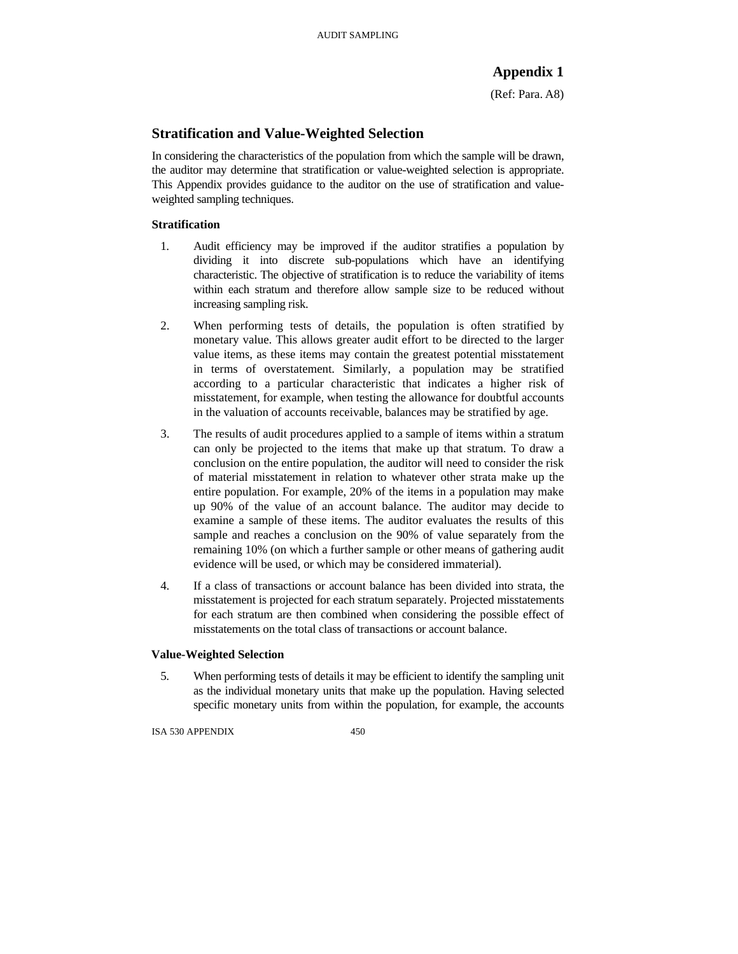## **Appendix 1**

(Ref: Para. A8)

#### **Stratification and Value-Weighted Selection**

In considering the characteristics of the population from which the sample will be drawn, the auditor may determine that stratification or value-weighted selection is appropriate. This Appendix provides guidance to the auditor on the use of stratification and valueweighted sampling techniques.

#### **Stratification**

- 1. Audit efficiency may be improved if the auditor stratifies a population by dividing it into discrete sub-populations which have an identifying characteristic. The objective of stratification is to reduce the variability of items within each stratum and therefore allow sample size to be reduced without increasing sampling risk.
- 2. When performing tests of details, the population is often stratified by monetary value. This allows greater audit effort to be directed to the larger value items, as these items may contain the greatest potential misstatement in terms of overstatement. Similarly, a population may be stratified according to a particular characteristic that indicates a higher risk of misstatement, for example, when testing the allowance for doubtful accounts in the valuation of accounts receivable, balances may be stratified by age.
- 3. The results of audit procedures applied to a sample of items within a stratum can only be projected to the items that make up that stratum. To draw a conclusion on the entire population, the auditor will need to consider the risk of material misstatement in relation to whatever other strata make up the entire population. For example, 20% of the items in a population may make up 90% of the value of an account balance. The auditor may decide to examine a sample of these items. The auditor evaluates the results of this sample and reaches a conclusion on the 90% of value separately from the remaining 10% (on which a further sample or other means of gathering audit evidence will be used, or which may be considered immaterial).
- 4. If a class of transactions or account balance has been divided into strata, the misstatement is projected for each stratum separately. Projected misstatements for each stratum are then combined when considering the possible effect of misstatements on the total class of transactions or account balance.

#### **Value-Weighted Selection**

5. When performing tests of details it may be efficient to identify the sampling unit as the individual monetary units that make up the population. Having selected specific monetary units from within the population, for example, the accounts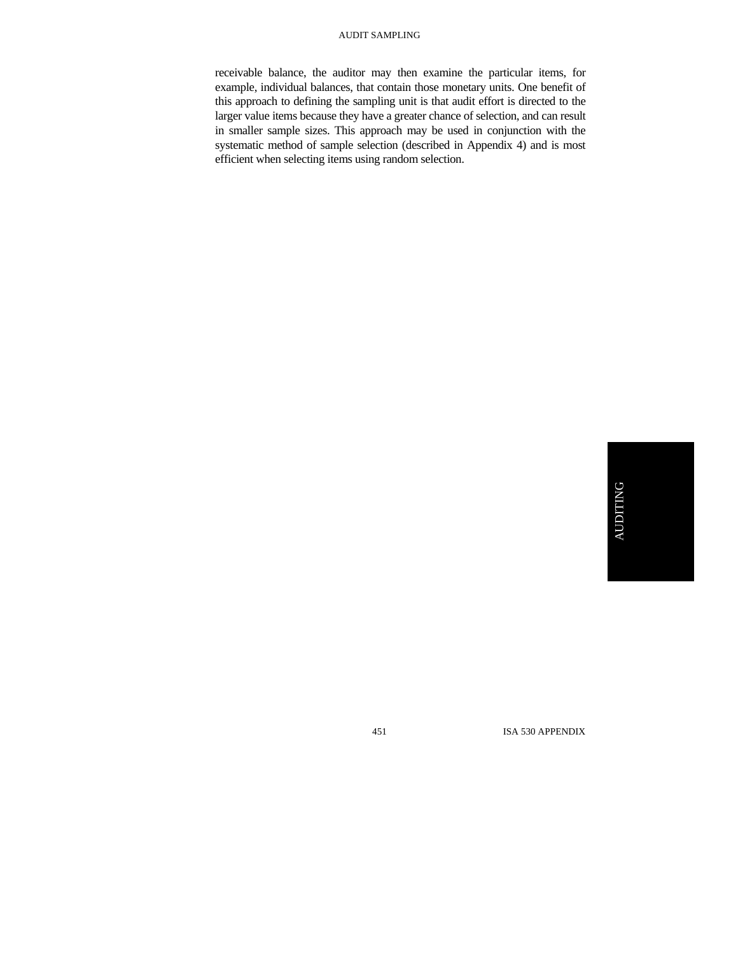receivable balance, the auditor may then examine the particular items, for example, individual balances, that contain those monetary units. One benefit of this approach to defining the sampling unit is that audit effort is directed to the larger value items because they have a greater chance of selection, and can result in smaller sample sizes. This approach may be used in conjunction with the systematic method of sample selection (described in Appendix 4) and is most efficient when selecting items using random selection.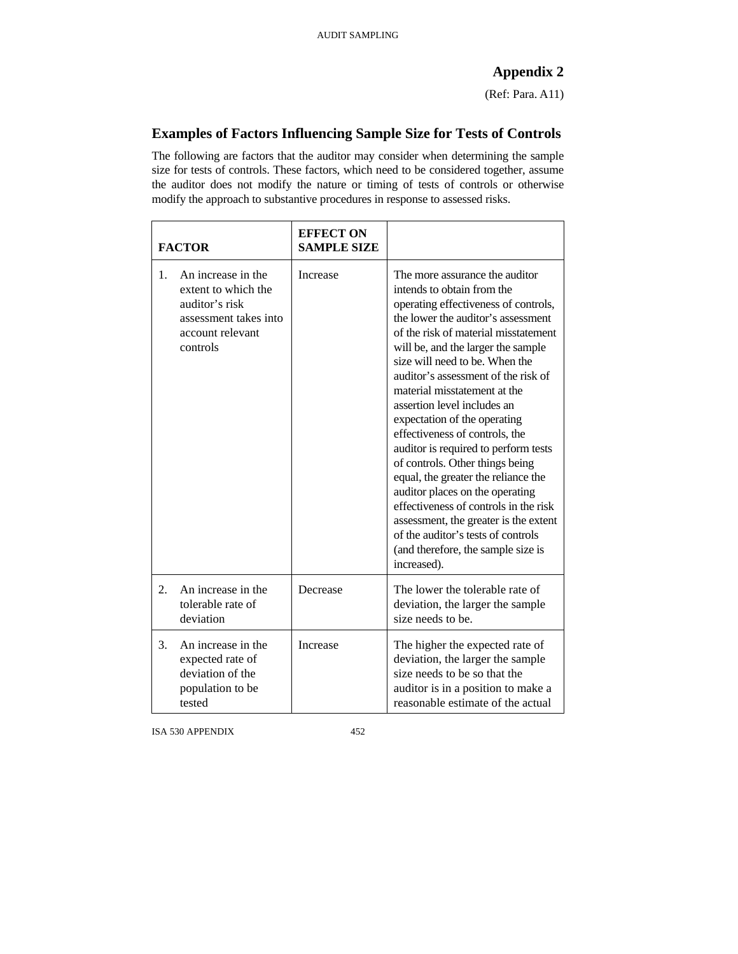# **Appendix 2**

(Ref: Para. A11)

# **Examples of Factors Influencing Sample Size for Tests of Controls**

The following are factors that the auditor may consider when determining the sample size for tests of controls. These factors, which need to be considered together, assume the auditor does not modify the nature or timing of tests of controls or otherwise modify the approach to substantive procedures in response to assessed risks.

| <b>FACTOR</b> |                                                                                                                      | <b>EFFECT ON</b><br><b>SAMPLE SIZE</b> |                                                                                                                                                                                                                                                                                                                                                                                                                                                                                                                                                                                                                                                                                                                                                                      |
|---------------|----------------------------------------------------------------------------------------------------------------------|----------------------------------------|----------------------------------------------------------------------------------------------------------------------------------------------------------------------------------------------------------------------------------------------------------------------------------------------------------------------------------------------------------------------------------------------------------------------------------------------------------------------------------------------------------------------------------------------------------------------------------------------------------------------------------------------------------------------------------------------------------------------------------------------------------------------|
| 1.            | An increase in the<br>extent to which the<br>auditor's risk<br>assessment takes into<br>account relevant<br>controls | Increase                               | The more assurance the auditor<br>intends to obtain from the<br>operating effectiveness of controls,<br>the lower the auditor's assessment<br>of the risk of material misstatement<br>will be, and the larger the sample<br>size will need to be. When the<br>auditor's assessment of the risk of<br>material misstatement at the<br>assertion level includes an<br>expectation of the operating<br>effectiveness of controls, the<br>auditor is required to perform tests<br>of controls. Other things being<br>equal, the greater the reliance the<br>auditor places on the operating<br>effectiveness of controls in the risk<br>assessment, the greater is the extent<br>of the auditor's tests of controls<br>(and therefore, the sample size is<br>increased). |
| 2.            | An increase in the<br>tolerable rate of<br>deviation                                                                 | Decrease                               | The lower the tolerable rate of<br>deviation, the larger the sample<br>size needs to be.                                                                                                                                                                                                                                                                                                                                                                                                                                                                                                                                                                                                                                                                             |
| 3.            | An increase in the<br>expected rate of<br>deviation of the<br>population to be<br>tested                             | <b>Increase</b>                        | The higher the expected rate of<br>deviation, the larger the sample<br>size needs to be so that the<br>auditor is in a position to make a<br>reasonable estimate of the actual                                                                                                                                                                                                                                                                                                                                                                                                                                                                                                                                                                                       |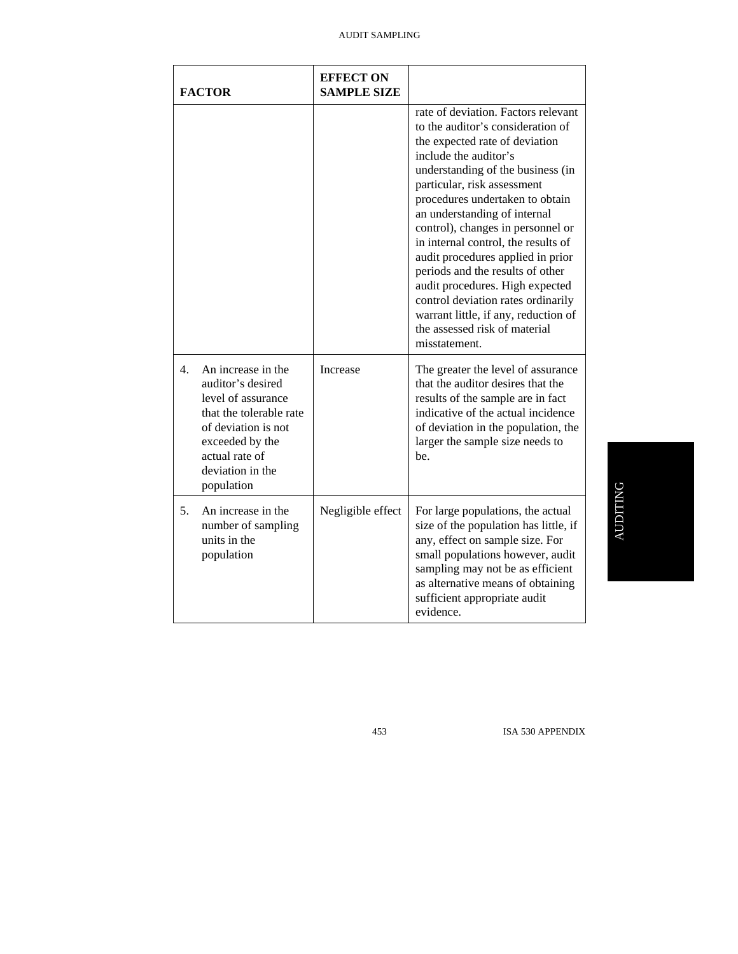|    | <b>FACTOR</b>                                                                                                                                                                          | <b>EFFECT ON</b><br><b>SAMPLE SIZE</b> |                                                                                                                                                                                                                                                                                                                                                                                                                                                                                                                                                                                                    |
|----|----------------------------------------------------------------------------------------------------------------------------------------------------------------------------------------|----------------------------------------|----------------------------------------------------------------------------------------------------------------------------------------------------------------------------------------------------------------------------------------------------------------------------------------------------------------------------------------------------------------------------------------------------------------------------------------------------------------------------------------------------------------------------------------------------------------------------------------------------|
|    |                                                                                                                                                                                        |                                        | rate of deviation. Factors relevant<br>to the auditor's consideration of<br>the expected rate of deviation<br>include the auditor's<br>understanding of the business (in<br>particular, risk assessment<br>procedures undertaken to obtain<br>an understanding of internal<br>control), changes in personnel or<br>in internal control, the results of<br>audit procedures applied in prior<br>periods and the results of other<br>audit procedures. High expected<br>control deviation rates ordinarily<br>warrant little, if any, reduction of<br>the assessed risk of material<br>misstatement. |
| 4. | An increase in the<br>auditor's desired<br>level of assurance<br>that the tolerable rate<br>of deviation is not<br>exceeded by the<br>actual rate of<br>deviation in the<br>population | Increase                               | The greater the level of assurance<br>that the auditor desires that the<br>results of the sample are in fact<br>indicative of the actual incidence<br>of deviation in the population, the<br>larger the sample size needs to<br>be.                                                                                                                                                                                                                                                                                                                                                                |
| 5. | An increase in the<br>number of sampling<br>units in the<br>population                                                                                                                 | Negligible effect                      | For large populations, the actual<br>size of the population has little, if<br>any, effect on sample size. For<br>small populations however, audit<br>sampling may not be as efficient<br>as alternative means of obtaining<br>sufficient appropriate audit<br>evidence.                                                                                                                                                                                                                                                                                                                            |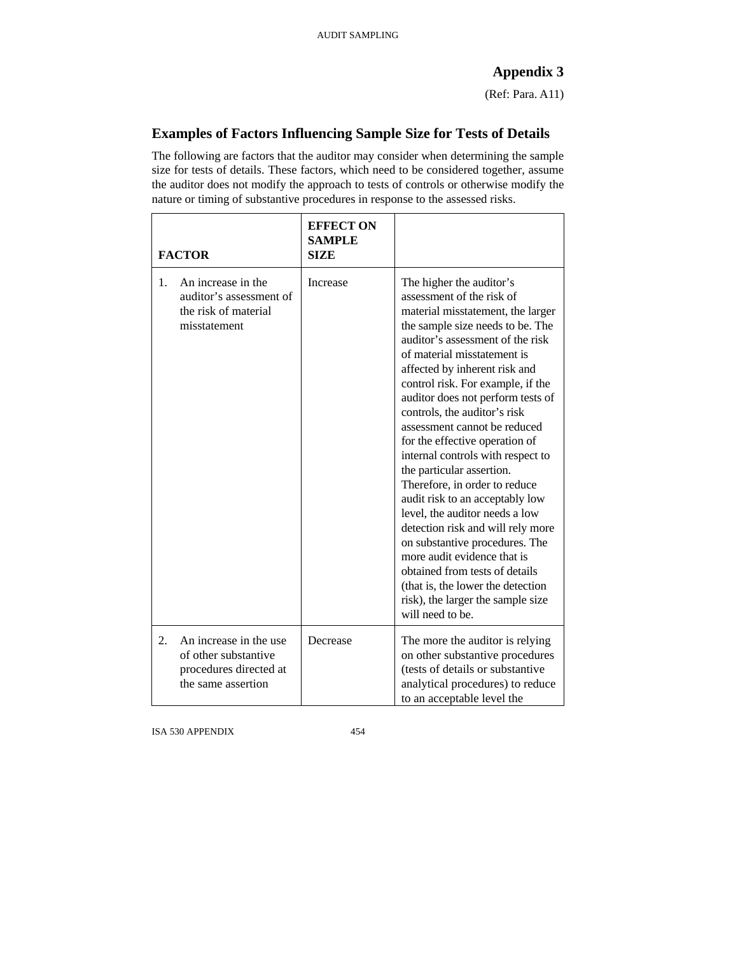# **Appendix 3**

(Ref: Para. A11)

# **Examples of Factors Influencing Sample Size for Tests of Details**

The following are factors that the auditor may consider when determining the sample size for tests of details. These factors, which need to be considered together, assume the auditor does not modify the approach to tests of controls or otherwise modify the nature or timing of substantive procedures in response to the assessed risks.

| <b>FACTOR</b>                                                                                        | <b>EFFECT ON</b><br><b>SAMPLE</b><br><b>SIZE</b> |                                                                                                                                                                                                                                                                                                                                                                                                                                                                                                                                                                                                                                                                                                                                                                                                                              |
|------------------------------------------------------------------------------------------------------|--------------------------------------------------|------------------------------------------------------------------------------------------------------------------------------------------------------------------------------------------------------------------------------------------------------------------------------------------------------------------------------------------------------------------------------------------------------------------------------------------------------------------------------------------------------------------------------------------------------------------------------------------------------------------------------------------------------------------------------------------------------------------------------------------------------------------------------------------------------------------------------|
| An increase in the<br>1.<br>auditor's assessment of<br>the risk of material<br>misstatement          | Increase                                         | The higher the auditor's<br>assessment of the risk of<br>material misstatement, the larger<br>the sample size needs to be. The<br>auditor's assessment of the risk<br>of material misstatement is<br>affected by inherent risk and<br>control risk. For example, if the<br>auditor does not perform tests of<br>controls, the auditor's risk<br>assessment cannot be reduced<br>for the effective operation of<br>internal controls with respect to<br>the particular assertion.<br>Therefore, in order to reduce<br>audit risk to an acceptably low<br>level, the auditor needs a low<br>detection risk and will rely more<br>on substantive procedures. The<br>more audit evidence that is<br>obtained from tests of details<br>(that is, the lower the detection<br>risk), the larger the sample size<br>will need to be. |
| 2.<br>An increase in the use<br>of other substantive<br>procedures directed at<br>the same assertion | Decrease                                         | The more the auditor is relying<br>on other substantive procedures<br>(tests of details or substantive<br>analytical procedures) to reduce<br>to an acceptable level the                                                                                                                                                                                                                                                                                                                                                                                                                                                                                                                                                                                                                                                     |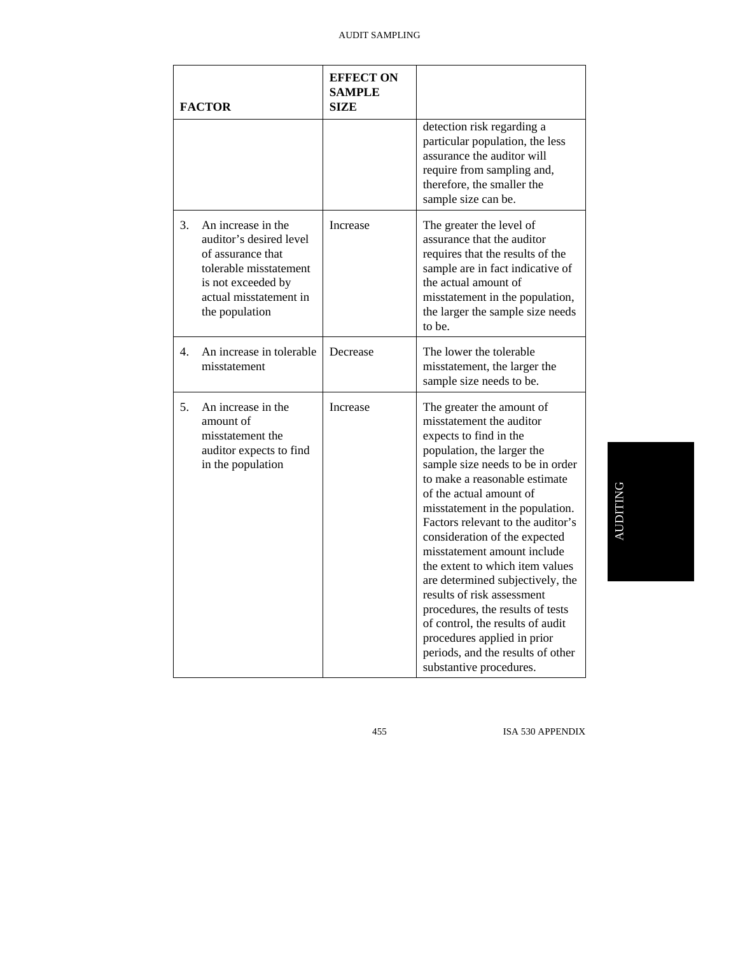|    | <b>FACTOR</b>                                                                                                                                                  | <b>EFFECT ON</b><br><b>SAMPLE</b><br><b>SIZE</b> |                                                                                                                                                                                                                                                                                                                                                                                                                                                                                                                                                                                                                                   |
|----|----------------------------------------------------------------------------------------------------------------------------------------------------------------|--------------------------------------------------|-----------------------------------------------------------------------------------------------------------------------------------------------------------------------------------------------------------------------------------------------------------------------------------------------------------------------------------------------------------------------------------------------------------------------------------------------------------------------------------------------------------------------------------------------------------------------------------------------------------------------------------|
|    |                                                                                                                                                                |                                                  | detection risk regarding a<br>particular population, the less<br>assurance the auditor will<br>require from sampling and,<br>therefore, the smaller the<br>sample size can be.                                                                                                                                                                                                                                                                                                                                                                                                                                                    |
| 3. | An increase in the<br>auditor's desired level<br>of assurance that<br>tolerable misstatement<br>is not exceeded by<br>actual misstatement in<br>the population | Increase                                         | The greater the level of<br>assurance that the auditor<br>requires that the results of the<br>sample are in fact indicative of<br>the actual amount of<br>misstatement in the population,<br>the larger the sample size needs<br>to be.                                                                                                                                                                                                                                                                                                                                                                                           |
| 4. | An increase in tolerable<br>misstatement                                                                                                                       | Decrease                                         | The lower the tolerable<br>misstatement, the larger the<br>sample size needs to be.                                                                                                                                                                                                                                                                                                                                                                                                                                                                                                                                               |
| 5. | An increase in the<br>amount of<br>misstatement the<br>auditor expects to find<br>in the population                                                            | Increase                                         | The greater the amount of<br>misstatement the auditor<br>expects to find in the<br>population, the larger the<br>sample size needs to be in order<br>to make a reasonable estimate<br>of the actual amount of<br>misstatement in the population.<br>Factors relevant to the auditor's<br>consideration of the expected<br>misstatement amount include<br>the extent to which item values<br>are determined subjectively, the<br>results of risk assessment<br>procedures, the results of tests<br>of control, the results of audit<br>procedures applied in prior<br>periods, and the results of other<br>substantive procedures. |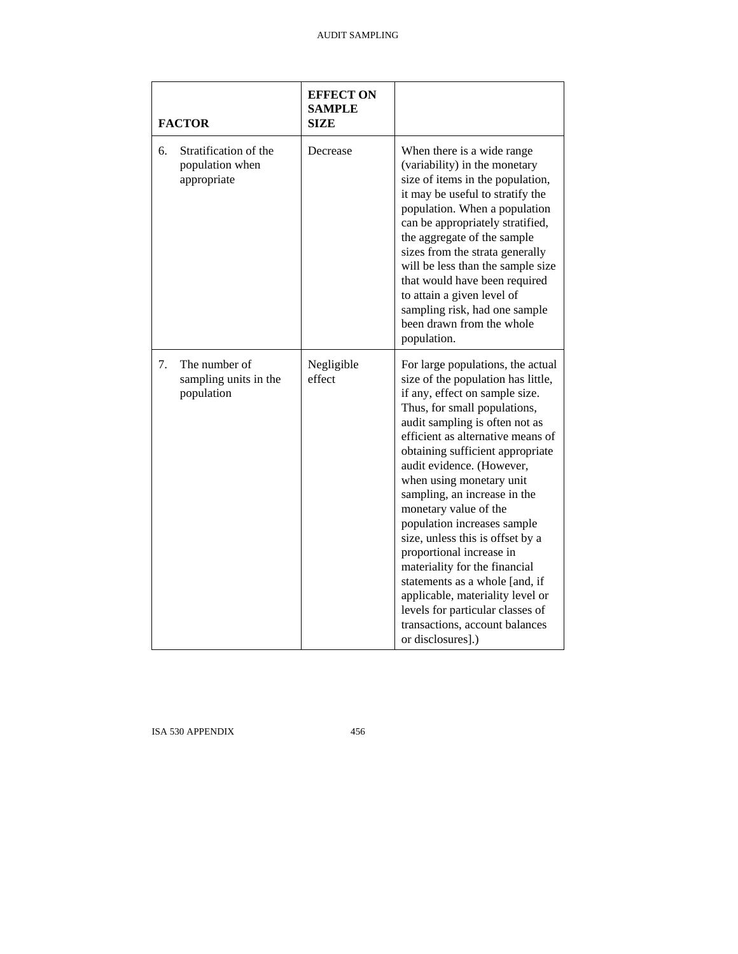| <b>FACTOR</b> |                                                         | <b>EFFECT ON</b><br><b>SAMPLE</b><br><b>SIZE</b> |                                                                                                                                                                                                                                                                                                                                                                                                                                                                                                                                                                                                                                                                         |
|---------------|---------------------------------------------------------|--------------------------------------------------|-------------------------------------------------------------------------------------------------------------------------------------------------------------------------------------------------------------------------------------------------------------------------------------------------------------------------------------------------------------------------------------------------------------------------------------------------------------------------------------------------------------------------------------------------------------------------------------------------------------------------------------------------------------------------|
| 6.            | Stratification of the<br>population when<br>appropriate | Decrease                                         | When there is a wide range<br>(variability) in the monetary<br>size of items in the population,<br>it may be useful to stratify the<br>population. When a population<br>can be appropriately stratified,<br>the aggregate of the sample<br>sizes from the strata generally<br>will be less than the sample size<br>that would have been required<br>to attain a given level of<br>sampling risk, had one sample<br>been drawn from the whole<br>population.                                                                                                                                                                                                             |
| 7.            | The number of<br>sampling units in the<br>population    | Negligible<br>effect                             | For large populations, the actual<br>size of the population has little,<br>if any, effect on sample size.<br>Thus, for small populations,<br>audit sampling is often not as<br>efficient as alternative means of<br>obtaining sufficient appropriate<br>audit evidence. (However,<br>when using monetary unit<br>sampling, an increase in the<br>monetary value of the<br>population increases sample<br>size, unless this is offset by a<br>proportional increase in<br>materiality for the financial<br>statements as a whole [and, if<br>applicable, materiality level or<br>levels for particular classes of<br>transactions, account balances<br>or disclosures].) |